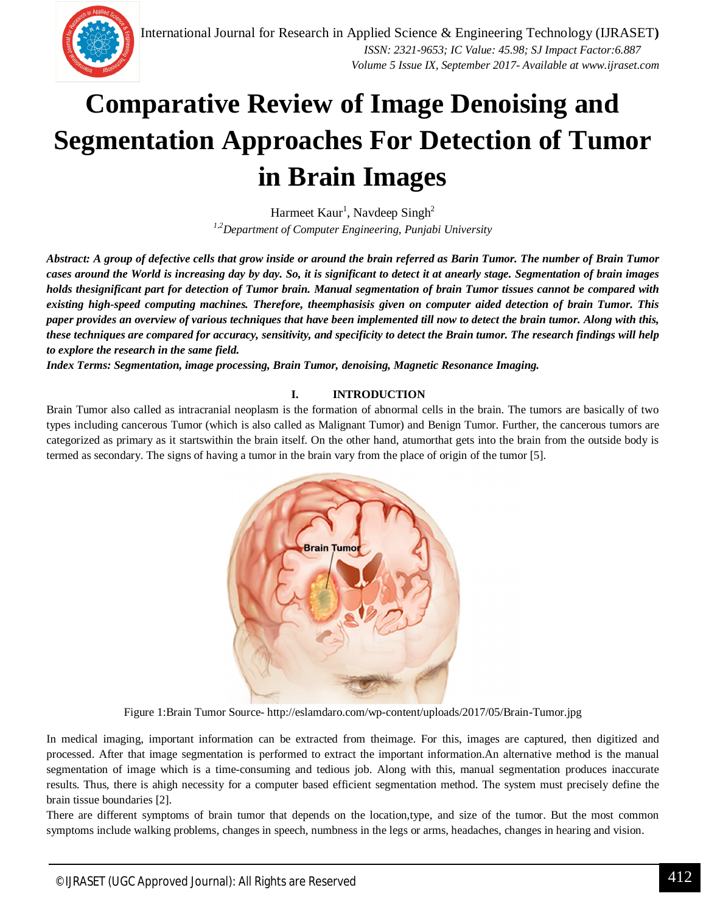

# **Comparative Review of Image Denoising and Segmentation Approaches For Detection of Tumor in Brain Images**

Harmeet Kaur<sup>1</sup>, Navdeep Singh<sup>2</sup> *1,2Department of Computer Engineering, Punjabi University*

*Abstract: A group of defective cells that grow inside or around the brain referred as Barin Tumor. The number of Brain Tumor cases around the World is increasing day by day. So, it is significant to detect it at anearly stage. Segmentation of brain images holds thesignificant part for detection of Tumor brain. Manual segmentation of brain Tumor tissues cannot be compared with existing high-speed computing machines. Therefore, theemphasisis given on computer aided detection of brain Tumor. This paper provides an overview of various techniques that have been implemented till now to detect the brain tumor. Along with this, these techniques are compared for accuracy, sensitivity, and specificity to detect the Brain tumor. The research findings will help to explore the research in the same field.*

*Index Terms: Segmentation, image processing, Brain Tumor, denoising, Magnetic Resonance Imaging.*

# **I. INTRODUCTION**

Brain Tumor also called as intracranial neoplasm is the formation of abnormal cells in the brain. The tumors are basically of two types including cancerous Tumor (which is also called as Malignant Tumor) and Benign Tumor. Further, the cancerous tumors are categorized as primary as it startswithin the brain itself. On the other hand, atumorthat gets into the brain from the outside body is termed as secondary. The signs of having a tumor in the brain vary from the place of origin of the tumor [5].



Figure 1:Brain Tumor Source- http://eslamdaro.com/wp-content/uploads/2017/05/Brain-Tumor.jpg

In medical imaging, important information can be extracted from theimage. For this, images are captured, then digitized and processed. After that image segmentation is performed to extract the important information.An alternative method is the manual segmentation of image which is a time-consuming and tedious job. Along with this, manual segmentation produces inaccurate results. Thus, there is ahigh necessity for a computer based efficient segmentation method. The system must precisely define the brain tissue boundaries [2].

There are different symptoms of brain tumor that depends on the location,type, and size of the tumor. But the most common symptoms include walking problems, changes in speech, numbness in the legs or arms, headaches, changes in hearing and vision.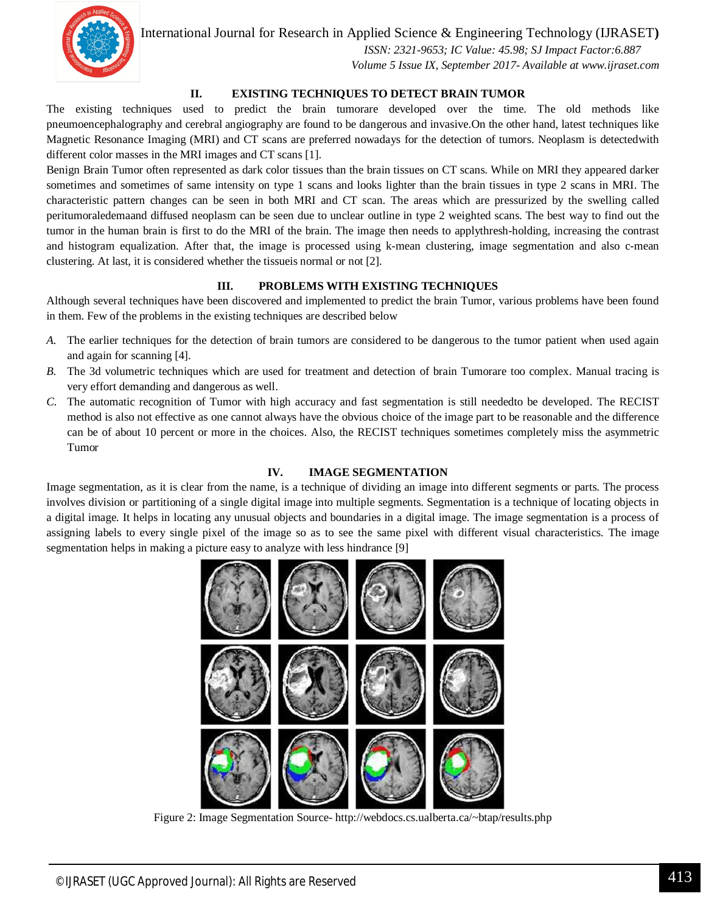

 *ISSN: 2321-9653; IC Value: 45.98; SJ Impact Factor:6.887 Volume 5 Issue IX, September 2017- Available at www.ijraset.com*

# **II. EXISTING TECHNIQUES TO DETECT BRAIN TUMOR**

The existing techniques used to predict the brain tumorare developed over the time. The old methods like pneumoencephalography and cerebral angiography are found to be dangerous and invasive.On the other hand, latest techniques like Magnetic Resonance Imaging (MRI) and CT scans are preferred nowadays for the detection of tumors. Neoplasm is detectedwith different color masses in the MRI images and CT scans [1].

Benign Brain Tumor often represented as dark color tissues than the brain tissues on CT scans. While on MRI they appeared darker sometimes and sometimes of same intensity on type 1 scans and looks lighter than the brain tissues in type 2 scans in MRI. The characteristic pattern changes can be seen in both MRI and CT scan. The areas which are pressurized by the swelling called peritumoraledemaand diffused neoplasm can be seen due to unclear outline in type 2 weighted scans. The best way to find out the tumor in the human brain is first to do the MRI of the brain. The image then needs to applythresh-holding, increasing the contrast and histogram equalization. After that, the image is processed using k-mean clustering, image segmentation and also c-mean clustering. At last, it is considered whether the tissueis normal or not [2].

#### **III. PROBLEMS WITH EXISTING TECHNIQUES**

Although several techniques have been discovered and implemented to predict the brain Tumor, various problems have been found in them. Few of the problems in the existing techniques are described below

- *A.* The earlier techniques for the detection of brain tumors are considered to be dangerous to the tumor patient when used again and again for scanning [4].
- *B.* The 3d volumetric techniques which are used for treatment and detection of brain Tumorare too complex. Manual tracing is very effort demanding and dangerous as well.
- *C.* The automatic recognition of Tumor with high accuracy and fast segmentation is still neededto be developed. The RECIST method is also not effective as one cannot always have the obvious choice of the image part to be reasonable and the difference can be of about 10 percent or more in the choices. Also, the RECIST techniques sometimes completely miss the asymmetric Tumor

#### **IV. IMAGE SEGMENTATION**

Image segmentation, as it is clear from the name, is a technique of dividing an image into different segments or parts. The process involves division or partitioning of a single digital image into multiple segments. Segmentation is a technique of locating objects in a digital image. It helps in locating any unusual objects and boundaries in a digital image. The image segmentation is a process of assigning labels to every single pixel of the image so as to see the same pixel with different visual characteristics. The image segmentation helps in making a picture easy to analyze with less hindrance [9]



Figure 2: Image Segmentation Source- http://webdocs.cs.ualberta.ca/~btap/results.php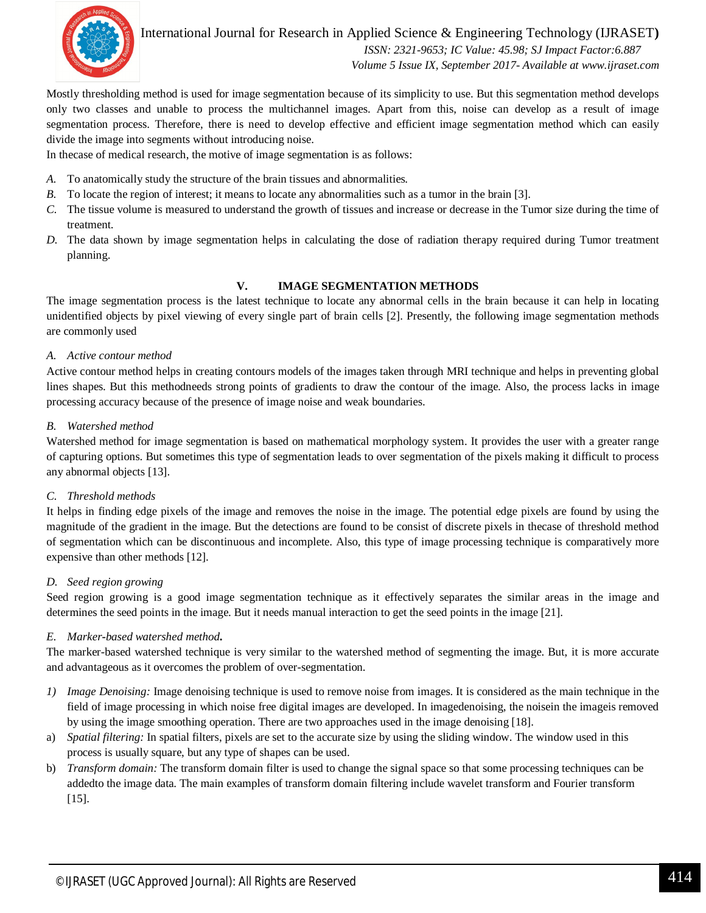

International Journal for Research in Applied Science & Engineering Technology (IJRASET**)**  *ISSN: 2321-9653; IC Value: 45.98; SJ Impact Factor:6.887 Volume 5 Issue IX, September 2017- Available at www.ijraset.com*

Mostly thresholding method is used for image segmentation because of its simplicity to use. But this segmentation method develops only two classes and unable to process the multichannel images. Apart from this, noise can develop as a result of image segmentation process. Therefore, there is need to develop effective and efficient image segmentation method which can easily divide the image into segments without introducing noise.

In thecase of medical research, the motive of image segmentation is as follows:

- *A.* To anatomically study the structure of the brain tissues and abnormalities.
- *B.* To locate the region of interest; it means to locate any abnormalities such as a tumor in the brain [3].
- *C.* The tissue volume is measured to understand the growth of tissues and increase or decrease in the Tumor size during the time of treatment.
- *D.* The data shown by image segmentation helps in calculating the dose of radiation therapy required during Tumor treatment planning.

# **V. IMAGE SEGMENTATION METHODS**

The image segmentation process is the latest technique to locate any abnormal cells in the brain because it can help in locating unidentified objects by pixel viewing of every single part of brain cells [2]. Presently, the following image segmentation methods are commonly used

#### *A. Active contour method*

Active contour method helps in creating contours models of the images taken through MRI technique and helps in preventing global lines shapes. But this methodneeds strong points of gradients to draw the contour of the image. Also, the process lacks in image processing accuracy because of the presence of image noise and weak boundaries.

#### *B. Watershed method*

Watershed method for image segmentation is based on mathematical morphology system. It provides the user with a greater range of capturing options. But sometimes this type of segmentation leads to over segmentation of the pixels making it difficult to process any abnormal objects [13].

#### *C. Threshold methods*

It helps in finding edge pixels of the image and removes the noise in the image. The potential edge pixels are found by using the magnitude of the gradient in the image. But the detections are found to be consist of discrete pixels in thecase of threshold method of segmentation which can be discontinuous and incomplete. Also, this type of image processing technique is comparatively more expensive than other methods [12].

#### *D. Seed region growing*

Seed region growing is a good image segmentation technique as it effectively separates the similar areas in the image and determines the seed points in the image. But it needs manual interaction to get the seed points in the image [21].

# *E. Marker***-***based watershed method***.**

The marker-based watershed technique is very similar to the watershed method of segmenting the image. But, it is more accurate and advantageous as it overcomes the problem of over-segmentation.

- *1) Image Denoising:* Image denoising technique is used to remove noise from images. It is considered as the main technique in the field of image processing in which noise free digital images are developed. In imagedenoising, the noisein the imageis removed by using the image smoothing operation. There are two approaches used in the image denoising [18].
- a) *Spatial filtering:* In spatial filters, pixels are set to the accurate size by using the sliding window. The window used in this process is usually square, but any type of shapes can be used.
- b) *Transform domain:* The transform domain filter is used to change the signal space so that some processing techniques can be addedto the image data. The main examples of transform domain filtering include wavelet transform and Fourier transform [15].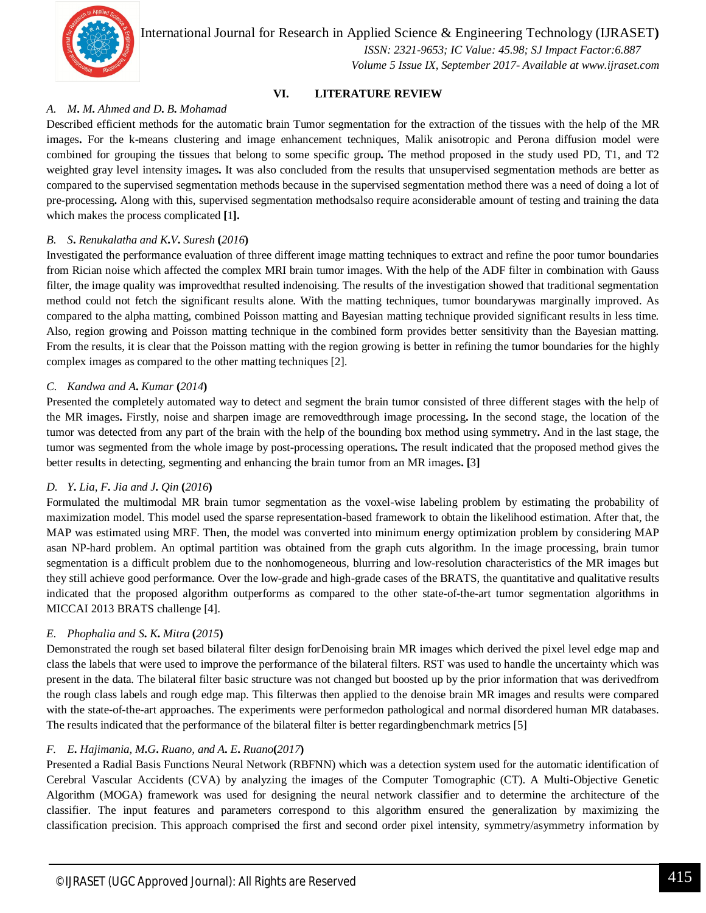

 *ISSN: 2321-9653; IC Value: 45.98; SJ Impact Factor:6.887 Volume 5 Issue IX, September 2017- Available at www.ijraset.com*

# **VI. LITERATURE REVIEW**

#### *A. M***.** *M***.** *Ahmed and D***.** *B***.** *Mohamad*

Described efficient methods for the automatic brain Tumor segmentation for the extraction of the tissues with the help of the MR images**.** For the k**-**means clustering and image enhancement techniques, Malik anisotropic and Perona diffusion model were combined for grouping the tissues that belong to some specific group**.** The method proposed in the study used PD, T1, and T2 weighted gray level intensity images**.** It was also concluded from the results that unsupervised segmentation methods are better as compared to the supervised segmentation methods because in the supervised segmentation method there was a need of doing a lot of pre**-**processing**.** Along with this, supervised segmentation methodsalso require aconsiderable amount of testing and training the data which makes the process complicated **[**1**].**

#### *B. S***.** *Renukalatha and K***.***V***.** *Suresh* **(***2016***)**

Investigated the performance evaluation of three different image matting techniques to extract and refine the poor tumor boundaries from Rician noise which affected the complex MRI brain tumor images. With the help of the ADF filter in combination with Gauss filter, the image quality was improvedthat resulted indenoising. The results of the investigation showed that traditional segmentation method could not fetch the significant results alone. With the matting techniques, tumor boundarywas marginally improved. As compared to the alpha matting, combined Poisson matting and Bayesian matting technique provided significant results in less time. Also, region growing and Poisson matting technique in the combined form provides better sensitivity than the Bayesian matting. From the results, it is clear that the Poisson matting with the region growing is better in refining the tumor boundaries for the highly complex images as compared to the other matting techniques [2].

#### *C. Kandwa and A***.** *Kumar* **(***2014***)**

Presented the completely automated way to detect and segment the brain tumor consisted of three different stages with the help of the MR images**.** Firstly, noise and sharpen image are removedthrough image processing**.** In the second stage, the location of the tumor was detected from any part of the brain with the help of the bounding box method using symmetry**.** And in the last stage, the tumor was segmented from the whole image by post**-**processing operations**.** The result indicated that the proposed method gives the better results in detecting, segmenting and enhancing the brain tumor from an MR images**. [**3**]**

#### *D. Y***.** *Lia, F***.** *Jia and J***.** *Qin* **(***2016***)**

Formulated the multimodal MR brain tumor segmentation as the voxel-wise labeling problem by estimating the probability of maximization model. This model used the sparse representation-based framework to obtain the likelihood estimation. After that, the MAP was estimated using MRF. Then, the model was converted into minimum energy optimization problem by considering MAP asan NP-hard problem. An optimal partition was obtained from the graph cuts algorithm. In the image processing, brain tumor segmentation is a difficult problem due to the nonhomogeneous, blurring and low-resolution characteristics of the MR images but they still achieve good performance. Over the low-grade and high-grade cases of the BRATS, the quantitative and qualitative results indicated that the proposed algorithm outperforms as compared to the other state-of-the-art tumor segmentation algorithms in MICCAI 2013 BRATS challenge [4].

# *E. Phophalia and S***.** *K***.** *Mitra* **(***2015***)**

Demonstrated the rough set based bilateral filter design forDenoising brain MR images which derived the pixel level edge map and class the labels that were used to improve the performance of the bilateral filters. RST was used to handle the uncertainty which was present in the data. The bilateral filter basic structure was not changed but boosted up by the prior information that was derivedfrom the rough class labels and rough edge map. This filterwas then applied to the denoise brain MR images and results were compared with the state-of-the-art approaches. The experiments were performedon pathological and normal disordered human MR databases. The results indicated that the performance of the bilateral filter is better regardingbenchmark metrics [5]

#### *F. E***.** *Hajimania, M***.***G***.** *Ruano, and A***.** *E***.** *Ruano***(***2017***)**

Presented a Radial Basis Functions Neural Network (RBFNN) which was a detection system used for the automatic identification of Cerebral Vascular Accidents (CVA) by analyzing the images of the Computer Tomographic (CT). A Multi-Objective Genetic Algorithm (MOGA) framework was used for designing the neural network classifier and to determine the architecture of the classifier. The input features and parameters correspond to this algorithm ensured the generalization by maximizing the classification precision. This approach comprised the first and second order pixel intensity, symmetry/asymmetry information by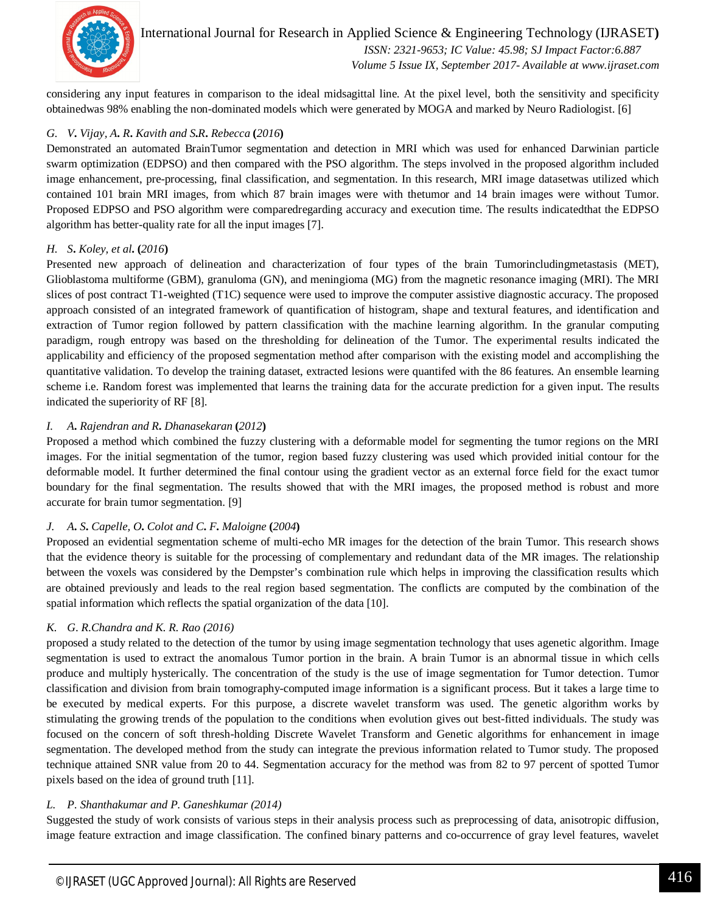

International Journal for Research in Applied Science & Engineering Technology (IJRASET**)**  *ISSN: 2321-9653; IC Value: 45.98; SJ Impact Factor:6.887 Volume 5 Issue IX, September 2017- Available at www.ijraset.com*

considering any input features in comparison to the ideal midsagittal line. At the pixel level, both the sensitivity and specificity obtainedwas 98% enabling the non-dominated models which were generated by MOGA and marked by Neuro Radiologist. [6]

# *G. V***.** *Vijay, A***.** *R***.** *Kavith and S***.***R***.** *Rebecca* **(***2016***)**

Demonstrated an automated BrainTumor segmentation and detection in MRI which was used for enhanced Darwinian particle swarm optimization (EDPSO) and then compared with the PSO algorithm. The steps involved in the proposed algorithm included image enhancement, pre-processing, final classification, and segmentation. In this research, MRI image datasetwas utilized which contained 101 brain MRI images, from which 87 brain images were with thetumor and 14 brain images were without Tumor. Proposed EDPSO and PSO algorithm were comparedregarding accuracy and execution time. The results indicatedthat the EDPSO algorithm has better-quality rate for all the input images [7].

# *H. S***.** *Koley, et al***. (***2016***)**

Presented new approach of delineation and characterization of four types of the brain Tumorincludingmetastasis (MET), Glioblastoma multiforme (GBM), granuloma (GN), and meningioma (MG) from the magnetic resonance imaging (MRI). The MRI slices of post contract T1-weighted (T1C) sequence were used to improve the computer assistive diagnostic accuracy. The proposed approach consisted of an integrated framework of quantification of histogram, shape and textural features, and identification and extraction of Tumor region followed by pattern classification with the machine learning algorithm. In the granular computing paradigm, rough entropy was based on the thresholding for delineation of the Tumor. The experimental results indicated the applicability and efficiency of the proposed segmentation method after comparison with the existing model and accomplishing the quantitative validation. To develop the training dataset, extracted lesions were quantifed with the 86 features. An ensemble learning scheme i.e. Random forest was implemented that learns the training data for the accurate prediction for a given input. The results indicated the superiority of RF [8].

# *I. A***.** *Rajendran and R***.** *Dhanasekaran* **(***2012***)**

Proposed a method which combined the fuzzy clustering with a deformable model for segmenting the tumor regions on the MRI images. For the initial segmentation of the tumor, region based fuzzy clustering was used which provided initial contour for the deformable model. It further determined the final contour using the gradient vector as an external force field for the exact tumor boundary for the final segmentation. The results showed that with the MRI images, the proposed method is robust and more accurate for brain tumor segmentation. [9]

# *J. A***.** *S***.** *Capelle, O***.** *Colot and C***.** *F***.** *Maloigne* **(***2004***)**

Proposed an evidential segmentation scheme of multi-echo MR images for the detection of the brain Tumor. This research shows that the evidence theory is suitable for the processing of complementary and redundant data of the MR images. The relationship between the voxels was considered by the Dempster's combination rule which helps in improving the classification results which are obtained previously and leads to the real region based segmentation. The conflicts are computed by the combination of the spatial information which reflects the spatial organization of the data [10].

# *K. G*. *R*.*Chandra and K*. *R*. *Rao (2016)*

proposed a study related to the detection of the tumor by using image segmentation technology that uses agenetic algorithm. Image segmentation is used to extract the anomalous Tumor portion in the brain. A brain Tumor is an abnormal tissue in which cells produce and multiply hysterically. The concentration of the study is the use of image segmentation for Tumor detection. Tumor classification and division from brain tomography-computed image information is a significant process. But it takes a large time to be executed by medical experts. For this purpose, a discrete wavelet transform was used. The genetic algorithm works by stimulating the growing trends of the population to the conditions when evolution gives out best-fitted individuals. The study was focused on the concern of soft thresh-holding Discrete Wavelet Transform and Genetic algorithms for enhancement in image segmentation. The developed method from the study can integrate the previous information related to Tumor study. The proposed technique attained SNR value from 20 to 44. Segmentation accuracy for the method was from 82 to 97 percent of spotted Tumor pixels based on the idea of ground truth [11].

# *L. P*. *Shanthakumar and P*. *Ganeshkumar (2014)*

Suggested the study of work consists of various steps in their analysis process such as preprocessing of data, anisotropic diffusion, image feature extraction and image classification. The confined binary patterns and co-occurrence of gray level features, wavelet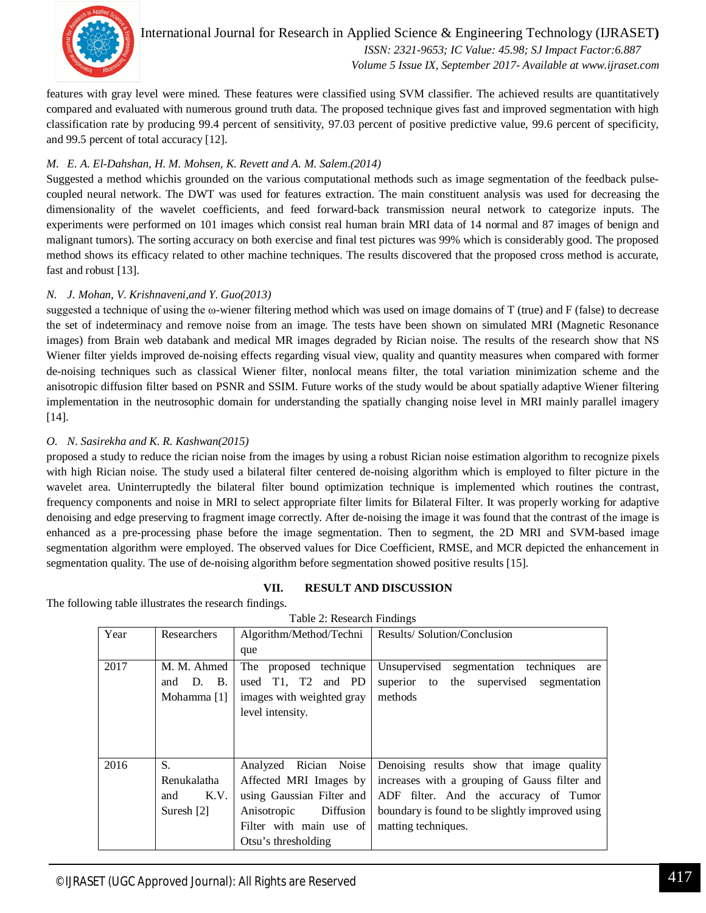

International Journal for Research in Applied Science & Engineering Technology (IJRASET**)**  *ISSN: 2321-9653; IC Value: 45.98; SJ Impact Factor:6.887 Volume 5 Issue IX, September 2017- Available at www.ijraset.com*

features with gray level were mined. These features were classified using SVM classifier. The achieved results are quantitatively compared and evaluated with numerous ground truth data. The proposed technique gives fast and improved segmentation with high classification rate by producing 99.4 percent of sensitivity, 97.03 percent of positive predictive value, 99.6 percent of specificity, and 99.5 percent of total accuracy [12].

# *M. E*. *A*. *El*-*Dahshan, H*. *M*. *Mohsen, K*. *Revett and A*. *M*. *Salem*.*(2014)*

Suggested a method whichis grounded on the various computational methods such as image segmentation of the feedback pulsecoupled neural network. The DWT was used for features extraction. The main constituent analysis was used for decreasing the dimensionality of the wavelet coefficients, and feed forward-back transmission neural network to categorize inputs. The experiments were performed on 101 images which consist real human brain MRI data of 14 normal and 87 images of benign and malignant tumors). The sorting accuracy on both exercise and final test pictures was 99% which is considerably good. The proposed method shows its efficacy related to other machine techniques. The results discovered that the proposed cross method is accurate, fast and robust [13].

# *N. J*. *Mohan, V*. *Krishnaveni,and Y*. *Guo(2013)*

suggested a technique of using the  $\omega$ -wiener filtering method which was used on image domains of T (true) and F (false) to decrease the set of indeterminacy and remove noise from an image. The tests have been shown on simulated MRI (Magnetic Resonance images) from Brain web databank and medical MR images degraded by Rician noise. The results of the research show that NS Wiener filter yields improved de-noising effects regarding visual view, quality and quantity measures when compared with former de-noising techniques such as classical Wiener filter, nonlocal means filter, the total variation minimization scheme and the anisotropic diffusion filter based on PSNR and SSIM. Future works of the study would be about spatially adaptive Wiener filtering implementation in the neutrosophic domain for understanding the spatially changing noise level in MRI mainly parallel imagery [14].

# *O. N*. *Sasirekha and K*. *R*. *Kashwan(2015)*

proposed a study to reduce the rician noise from the images by using a robust Rician noise estimation algorithm to recognize pixels with high Rician noise. The study used a bilateral filter centered de-noising algorithm which is employed to filter picture in the wavelet area. Uninterruptedly the bilateral filter bound optimization technique is implemented which routines the contrast, frequency components and noise in MRI to select appropriate filter limits for Bilateral Filter. It was properly working for adaptive denoising and edge preserving to fragment image correctly. After de-noising the image it was found that the contrast of the image is enhanced as a pre-processing phase before the image segmentation. Then to segment, the 2D MRI and SVM-based image segmentation algorithm were employed. The observed values for Dice Coefficient, RMSE, and MCR depicted the enhancement in segmentation quality. The use of de-noising algorithm before segmentation showed positive results [15].

# **VII. RESULT AND DISCUSSION**

The following table illustrates the research findings.

| $1$ avit $2$ . Research Findings |                                                      |                                                                                                                                                                  |                                                                                                                                                                                                               |  |
|----------------------------------|------------------------------------------------------|------------------------------------------------------------------------------------------------------------------------------------------------------------------|---------------------------------------------------------------------------------------------------------------------------------------------------------------------------------------------------------------|--|
| Year                             | Researchers                                          | Algorithm/Method/Techni                                                                                                                                          | Results/Solution/Conclusion                                                                                                                                                                                   |  |
|                                  |                                                      | que                                                                                                                                                              |                                                                                                                                                                                                               |  |
| 2017                             | M. M. Ahmed<br><b>B.</b><br>D.<br>and<br>Mohamma [1] | The proposed technique<br>T1, T2 and PD<br>used<br>images with weighted gray                                                                                     | Unsupervised<br>segmentation techniques<br>are<br>supervised<br>superior to<br>the<br>segmentation<br>methods                                                                                                 |  |
|                                  |                                                      | level intensity.                                                                                                                                                 |                                                                                                                                                                                                               |  |
| 2016                             | S.<br>Renukalatha<br>K.V.<br>and<br>Suresh $[2]$     | Noise<br>Analyzed<br>Rician<br>Affected MRI Images by<br>using Gaussian Filter and<br>Diffusion<br>Anisotropic<br>Filter with main use of<br>Otsu's thresholding | Denoising results show that image quality<br>increases with a grouping of Gauss filter and<br>ADF filter. And the accuracy of Tumor<br>boundary is found to be slightly improved using<br>matting techniques. |  |

Table 2: Research Findings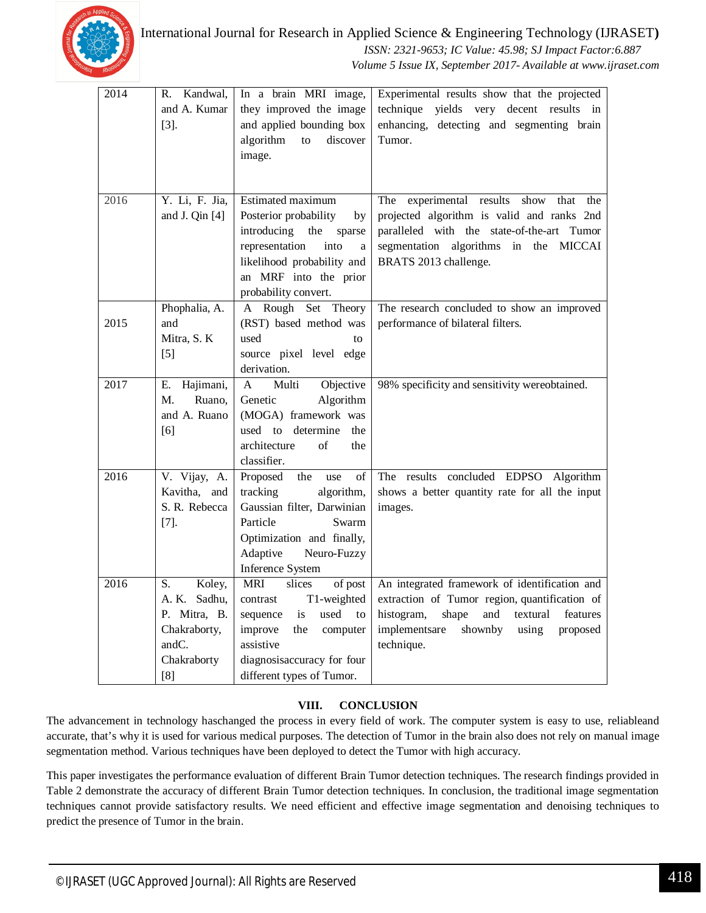

 *ISSN: 2321-9653; IC Value: 45.98; SJ Impact Factor:6.887 Volume 5 Issue IX, September 2017- Available at www.ijraset.com*

| 2014 | Kandwal,<br>R.  | In a brain MRI image,              | Experimental results show that the projected       |
|------|-----------------|------------------------------------|----------------------------------------------------|
|      | and A. Kumar    | they improved the image            | technique yields very decent results in            |
|      | $[3]$ .         | and applied bounding box           | enhancing, detecting and segmenting brain          |
|      |                 | discover<br>algorithm<br>to        | Tumor.                                             |
|      |                 | image.                             |                                                    |
|      |                 |                                    |                                                    |
|      |                 |                                    |                                                    |
| 2016 | Y. Li, F. Jia,  | <b>Estimated maximum</b>           | The<br>experimental results<br>show<br>that<br>the |
|      | and J. Qin [4]  | Posterior probability<br>by        | projected algorithm is valid and ranks 2nd         |
|      |                 | introducing<br>the<br>sparse       | paralleled with the state-of-the-art Tumor         |
|      |                 | representation<br>into<br>a        | segmentation algorithms in the MICCAI              |
|      |                 | likelihood probability and         | BRATS 2013 challenge.                              |
|      |                 | an MRF into the prior              |                                                    |
|      |                 | probability convert.               |                                                    |
|      | Phophalia, A.   | A Rough Set Theory                 | The research concluded to show an improved         |
| 2015 | and             | (RST) based method was             | performance of bilateral filters.                  |
|      | Mitra, S. K     | used<br>to                         |                                                    |
|      | $[5]$           | source pixel level edge            |                                                    |
|      |                 | derivation.                        |                                                    |
| 2017 | Hajimani,<br>Е. | Objective<br>$\mathbf{A}$<br>Multi | 98% specificity and sensitivity wereobtained.      |
|      | М.<br>Ruano,    | Genetic<br>Algorithm               |                                                    |
|      | and A. Ruano    | (MOGA) framework was               |                                                    |
|      | [6]             | used to determine<br>the           |                                                    |
|      |                 | architecture<br>of<br>the          |                                                    |
|      |                 | classifier.                        |                                                    |
| 2016 | V. Vijay, A.    | Proposed<br>the<br>of<br>use       | The results concluded EDPSO Algorithm              |
|      | Kavitha, and    | tracking<br>algorithm,             | shows a better quantity rate for all the input     |
|      | S. R. Rebecca   | Gaussian filter, Darwinian         | images.                                            |
|      | $[7]$ .         | Particle<br>Swarm                  |                                                    |
|      |                 | Optimization and finally,          |                                                    |
|      |                 | Adaptive<br>Neuro-Fuzzy            |                                                    |
|      |                 | <b>Inference System</b>            |                                                    |
| 2016 | Koley,<br>S.    | <b>MRI</b><br>slices<br>of post    | An integrated framework of identification and      |
|      | A. K.<br>Sadhu, | contrast<br>T1-weighted            | extraction of Tumor region, quantification of      |
|      | P. Mitra, B.    | is<br>used<br>sequence<br>to       | and<br>textural<br>histogram,<br>shape<br>features |
|      | Chakraborty,    | improve<br>the<br>computer         | implementsare<br>shownby<br>using<br>proposed      |
|      | andC.           | assistive                          | technique.                                         |
|      | Chakraborty     | diagnosisaccuracy for four         |                                                    |
|      | [8]             | different types of Tumor.          |                                                    |

# **VIII. CONCLUSION**

The advancement in technology haschanged the process in every field of work. The computer system is easy to use, reliableand accurate, that's why it is used for various medical purposes. The detection of Tumor in the brain also does not rely on manual image segmentation method. Various techniques have been deployed to detect the Tumor with high accuracy.

This paper investigates the performance evaluation of different Brain Tumor detection techniques. The research findings provided in Table 2 demonstrate the accuracy of different Brain Tumor detection techniques. In conclusion, the traditional image segmentation techniques cannot provide satisfactory results. We need efficient and effective image segmentation and denoising techniques to predict the presence of Tumor in the brain.